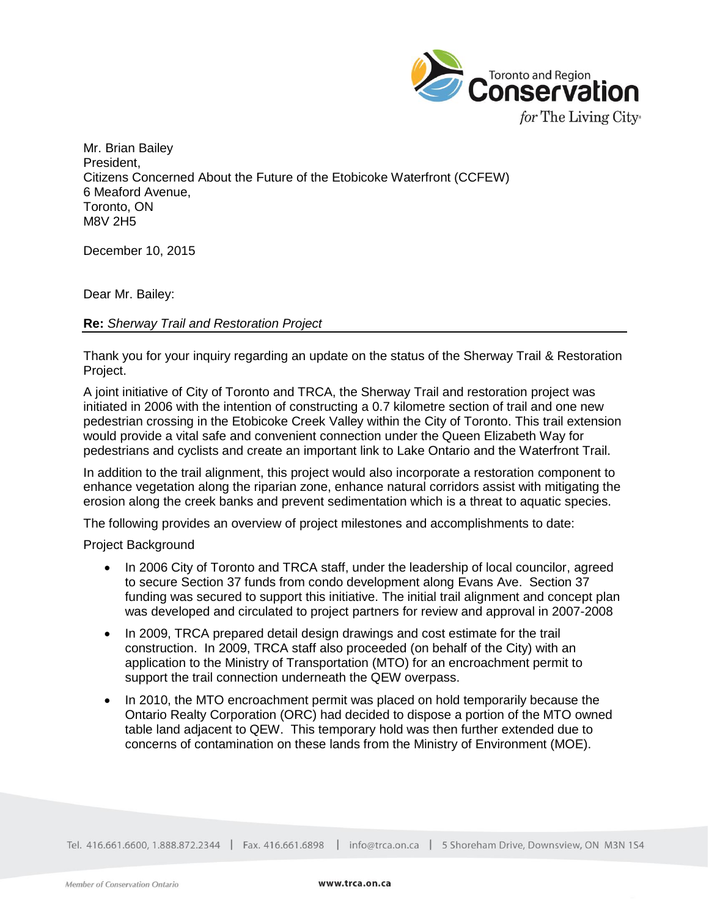

Mr. Brian Bailey President, Citizens Concerned About the Future of the Etobicoke Waterfront (CCFEW) 6 Meaford Avenue, Toronto, ON M8V 2H5

December 10, 2015

Dear Mr. Bailey:

## **Re:** *Sherway Trail and Restoration Project*

Thank you for your inquiry regarding an update on the status of the Sherway Trail & Restoration Project.

A joint initiative of City of Toronto and TRCA, the Sherway Trail and restoration project was initiated in 2006 with the intention of constructing a 0.7 kilometre section of trail and one new pedestrian crossing in the Etobicoke Creek Valley within the City of Toronto. This trail extension would provide a vital safe and convenient connection under the Queen Elizabeth Way for pedestrians and cyclists and create an important link to Lake Ontario and the Waterfront Trail.

In addition to the trail alignment, this project would also incorporate a restoration component to enhance vegetation along the riparian zone, enhance natural corridors assist with mitigating the erosion along the creek banks and prevent sedimentation which is a threat to aquatic species.

The following provides an overview of project milestones and accomplishments to date:

Project Background

- In 2006 City of Toronto and TRCA staff, under the leadership of local councilor, agreed to secure Section 37 funds from condo development along Evans Ave. Section 37 funding was secured to support this initiative. The initial trail alignment and concept plan was developed and circulated to project partners for review and approval in 2007-2008
- In 2009, TRCA prepared detail design drawings and cost estimate for the trail construction. In 2009, TRCA staff also proceeded (on behalf of the City) with an application to the Ministry of Transportation (MTO) for an encroachment permit to support the trail connection underneath the QEW overpass.
- In 2010, the MTO encroachment permit was placed on hold temporarily because the Ontario Realty Corporation (ORC) had decided to dispose a portion of the MTO owned table land adjacent to QEW. This temporary hold was then further extended due to concerns of contamination on these lands from the Ministry of Environment (MOE).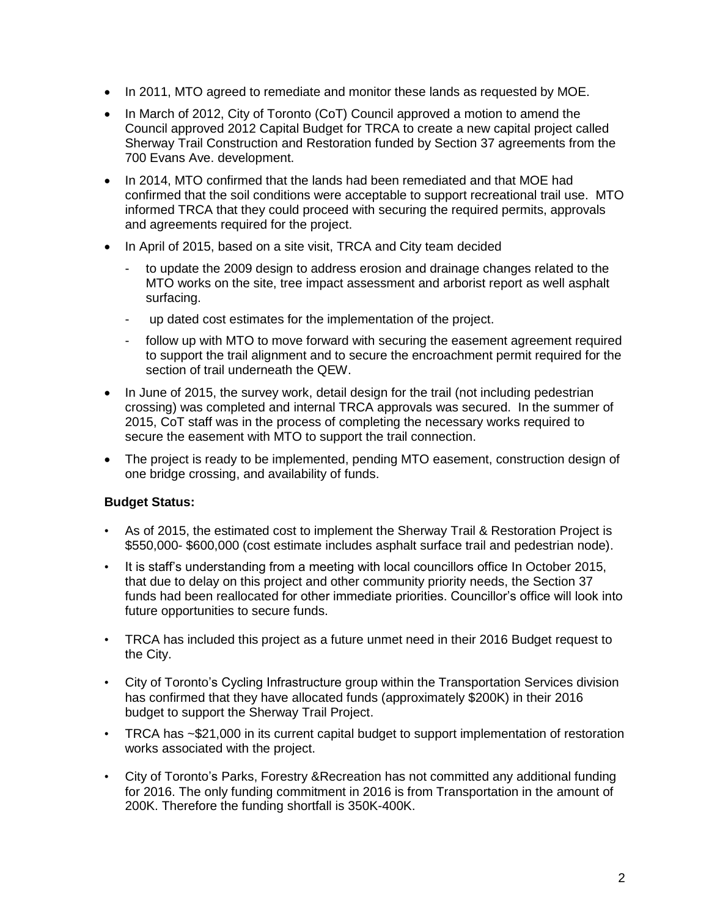- In 2011, MTO agreed to remediate and monitor these lands as requested by MOE.
- In March of 2012, City of Toronto (CoT) Council approved a motion to amend the Council approved 2012 Capital Budget for TRCA to create a new capital project called Sherway Trail Construction and Restoration funded by Section 37 agreements from the 700 Evans Ave. development.
- In 2014, MTO confirmed that the lands had been remediated and that MOE had confirmed that the soil conditions were acceptable to support recreational trail use. MTO informed TRCA that they could proceed with securing the required permits, approvals and agreements required for the project.
- In April of 2015, based on a site visit, TRCA and City team decided
	- to update the 2009 design to address erosion and drainage changes related to the MTO works on the site, tree impact assessment and arborist report as well asphalt surfacing.
	- up dated cost estimates for the implementation of the project.
	- follow up with MTO to move forward with securing the easement agreement required to support the trail alignment and to secure the encroachment permit required for the section of trail underneath the QEW.
- In June of 2015, the survey work, detail design for the trail (not including pedestrian crossing) was completed and internal TRCA approvals was secured. In the summer of 2015, CoT staff was in the process of completing the necessary works required to secure the easement with MTO to support the trail connection.
- The project is ready to be implemented, pending MTO easement, construction design of one bridge crossing, and availability of funds.

## **Budget Status:**

- As of 2015, the estimated cost to implement the Sherway Trail & Restoration Project is \$550,000- \$600,000 (cost estimate includes asphalt surface trail and pedestrian node).
- It is staff's understanding from a meeting with local councillors office In October 2015, that due to delay on this project and other community priority needs, the Section 37 funds had been reallocated for other immediate priorities. Councillor's office will look into future opportunities to secure funds.
- TRCA has included this project as a future unmet need in their 2016 Budget request to the City.
- City of Toronto's Cycling Infrastructure group within the Transportation Services division has confirmed that they have allocated funds (approximately \$200K) in their 2016 budget to support the Sherway Trail Project.
- TRCA has ~\$21,000 in its current capital budget to support implementation of restoration works associated with the project.
- City of Toronto's Parks, Forestry &Recreation has not committed any additional funding for 2016. The only funding commitment in 2016 is from Transportation in the amount of 200K. Therefore the funding shortfall is 350K-400K.